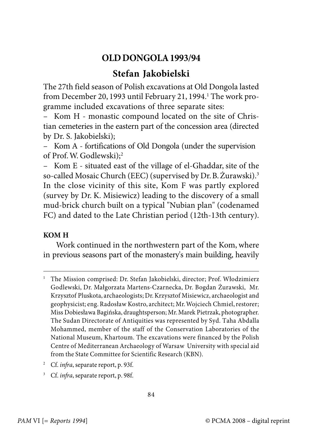## **OLD DONGOLA 1993/94**

## **Stefan Jakobielski**

The 27th field season of Polish excavations at Old Dongola lasted from December 20, 1993 until February 21, 1994.<sup>1</sup> The work programme included excavations of three separate sites:

Kom H - monastic compound located on the site of Christian cemeteries in the eastern part of the concession area (directed by Dr. S. Jakobielski);

– Kom A - fortifications of Old Dongola (under the supervision of Prof. W. Godlewski);<sup>2</sup>

– Kom E - situated east of the village of el-Ghaddar, site of the so-called Mosaic Church (EEC) (supervised by Dr. B. Żurawski).<sup>3</sup> In the close vicinity of this site, Kom F was partly explored (survey by Dr. K. Misiewicz) leading to the discovery of a small mud-brick church built on a typical "Nubian plan" (codenamed FC) and dated to the Late Christian period (12th-13th century).

## **KOM H**

Work continued in the northwestern part of the Kom, where in previous seasons part of the monastery's main building, heavily

- <sup>2</sup> Cf. *infra*, separate report, p. 93f.
- <sup>3</sup> Cf. *infra*, separate report, p. 98f.

<sup>&</sup>lt;sup>1</sup> The Mission comprised: Dr. Stefan Jakobielski, director; Prof. Włodzimierz Godlewski, Dr. Małgorzata Martens-Czarnecka, Dr. Bogdan Żurawski, Mr. Krzysztof Pluskota, archaeologists; Dr. Krzysztof Misiewicz, archaeologist and geophysicist; eng. Radosław Kostro, architect; Mr. Wojciech Chmiel, restorer; Miss Dobiesława Bagińska, draughtsperson; Mr. Marek Pietrzak, photographer. The Sudan Directorate of Antiquities was represented by Syd. Taha Abdalla Mohammed, member of the staff of the Conservation Laboratories of the National Museum, Khartoum. The excavations were financed by the Polish Centre of Mediterranean Archaeology of Warsaw University with special aid from the State Committee for Scientific Research (KBN).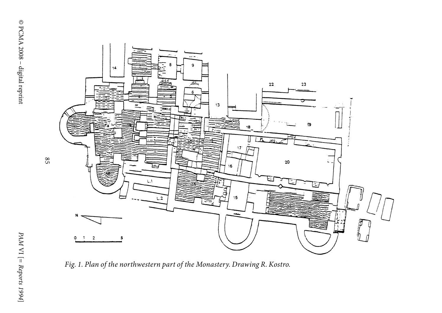

Fig. 1. Plan of the northwestern part of the Monastery. Drawing R. Kostro.

]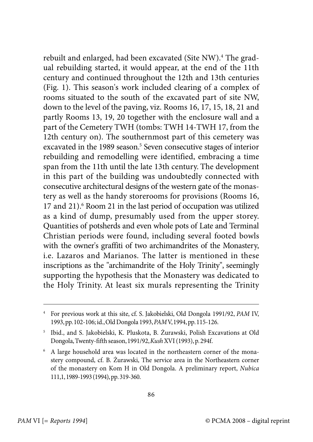rebuilt and enlarged, had been excavated (Site NW).<sup>4</sup> The gradual rebuilding started, it would appear, at the end of the 11th century and continued throughout the 12th and 13th centuries (Fig. 1). This season's work included clearing of a complex of rooms situated to the south of the excavated part of site NW, down to the level of the paving, viz. Rooms 16, 17, 15, 18, 21 and partly Rooms 13, 19, 20 together with the enclosure wall and a part of the Cemetery TWH (tombs: TWH 14-TWH 17, from the 12th century on). The southernmost part of this cemetery was excavated in the 1989 season.<sup>5</sup> Seven consecutive stages of interior rebuilding and remodelling were identified, embracing a time span from the 11th until the late 13th century. The development in this part of the building was undoubtedly connected with consecutive architectural designs of the western gate of the monastery as well as the handy storerooms for provisions (Rooms 16, 17 and 21).<sup>6</sup> Room 21 in the last period of occupation was utilized as a kind of dump, presumably used from the upper storey. Quantities of potsherds and even whole pots of Late and Terminal Christian periods were found, including several footed bowls with the owner's graffiti of two archimandrites of the Monastery, i.e. Lazaros and Marianos. The latter is mentioned in these inscriptions as the "archimandrite of the Holy Trinity", seemingly supporting the hypothesis that the Monastery was dedicated to the Holy Trinity. At least six murals representing the Trinity

<sup>4</sup> For previous work at this site, cf. S. Jakobielski, Old Dongola 1991/92, PAM IV, 1993, pp. 102-106; id., Old Dongola 1993,PAM V, 1994, pp. 115-126.

<sup>5</sup> Ibid., and S. Jakobielski, K. Pluskota, B. Żurawski, Polish Excavations at Old Dongola, Twenty-fifth season, 1991/92,Kush XVI (1993), p. 294f.

<sup>6</sup> A large household area was located in the northeastern corner of the monastery compound, cf. B. Żurawski, The service area in the Northeastern corner of the monastery on Kom H in Old Dongola. A preliminary report, Nubica 111,1, 1989-1993 (1994), pp. 319-360.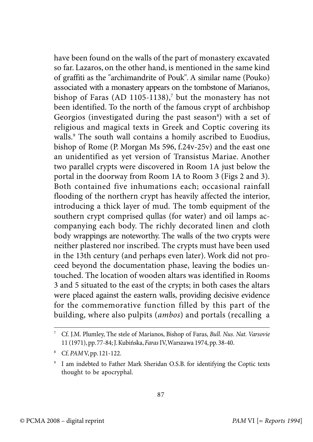have been found on the walls of the part of monastery excavated so far. Lazaros, on the other hand, is mentioned in the same kind of graffiti as the "archimandrite of Pouk". A similar name (Pouko) associated with a monastery appears on the tombstone of Marianos, bishop of Faras (AD 1105-1138), $^7$  but the monastery has not been identified. To the north of the famous crypt of archbishop Georgios (investigated during the past season $^{\circ}$ ) with a set of religious and magical texts in Greek and Coptic covering its walls.<sup>9</sup> The south wall contains a homily ascribed to Euodius, bishop of Rome (P. Morgan Ms 596, f.24v-25v) and the east one an unidentified as yet version of Transistus Mariae. Another two parallel crypts were discovered in Room 1A just below the portal in the doorway from Room 1A to Room 3 (Figs 2 and 3). Both contained five inhumations each; occasional rainfall flooding of the northern crypt has heavily affected the interior, introducing a thick layer of mud. The tomb equipment of the southern crypt comprised qullas (for water) and oil lamps accompanying each body. The richly decorated linen and cloth body wrappings are noteworthy. The walls of the two crypts were neither plastered nor inscribed. The crypts must have been used in the 13th century (and perhaps even later). Work did not proceed beyond the documentation phase, leaving the bodies untouched. The location of wooden altars was identified in Rooms 3 and 5 situated to the east of the crypts; in both cases the altars were placed against the eastern walls, providing decisive evidence for the commemorative function filled by this part of the building, where also pulpits (ambos) and portals (recalling a

<sup>7</sup> Cf. J.M. Plumley, The stele of Marianos, Bishop of Faras, Bull. Nus. Nat. Varsovie 11 (1971), pp. 77-84; J. Kubińska, Faras IV, Warszawa 1974, pp. 38-40.

<sup>8</sup> Cf. PAM V, pp. 121-122.

<sup>9</sup> I am indebted to Father Mark Sheridan O.S.B. for identifying the Coptic texts thought to be apocryphal.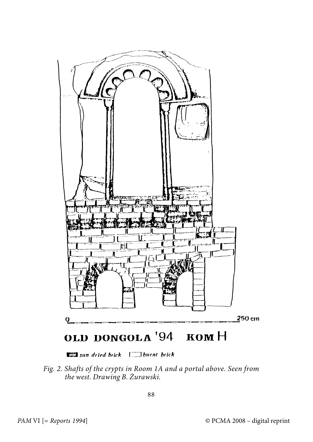

sun dried brick [ ] burnt brick

Fig. 2. Shafts of the crypts in Room 1A and a portal above. Seen from the west. Drawing B. Żurawski.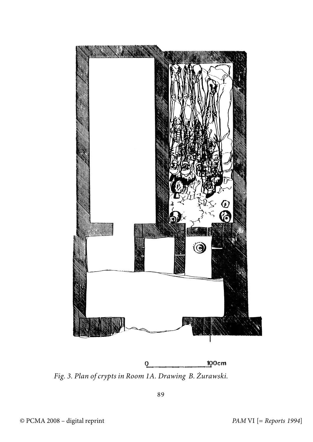

Fig. 3. Plan of crypts in Room 1A. Drawing B. Żurawski.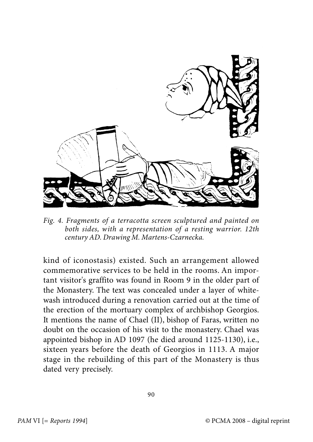

Fig. 4. Fragments of a terracotta screen sculptured and painted on both sides, with a representation of a resting warrior. 12th century AD. Drawing M. Martens-Czarnecka.

kind of iconostasis) existed. Such an arrangement allowed commemorative services to be held in the rooms. An important visitor's graffito was found in Room 9 in the older part of the Monastery. The text was concealed under a layer of whitewash introduced during a renovation carried out at the time of the erection of the mortuary complex of archbishop Georgios. It mentions the name of Chael (II), bishop of Faras, written no doubt on the occasion of his visit to the monastery. Chael was appointed bishop in AD 1097 (he died around 1125-1130), i.e., sixteen years before the death of Georgios in 1113. A major stage in the rebuilding of this part of the Monastery is thus dated very precisely.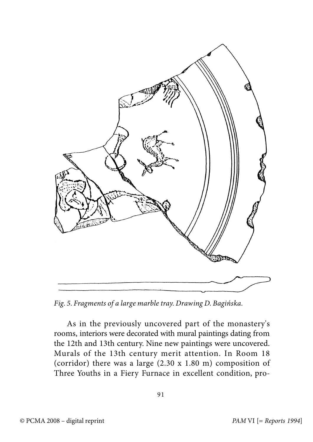

Fig. 5. Fragments of a large marble tray. Drawing D. Bagińska.

As in the previously uncovered part of the monastery's rooms, interiors were decorated with mural paintings dating from the 12th and 13th century. Nine new paintings were uncovered. Murals of the 13th century merit attention. In Room 18 (corridor) there was a large (2.30 x 1.80 m) composition of Three Youths in a Fiery Furnace in excellent condition, pro